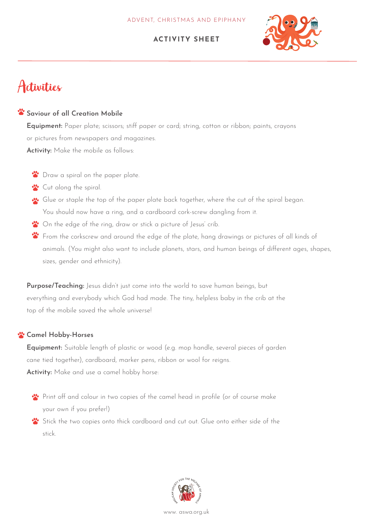

# Activities

## **Saviour of all Creation Mobile**

**Equipment:** Paper plate; scissors; stiff paper or card; string, cotton or ribbon; paints, crayons or pictures from newspapers and magazines. **Activity:** Make the mobile as follows:

- **B** Draw a spiral on the paper plate.
- **Cut along the spiral.**
- Glue or staple the top of the paper plate back together, where the cut of the spiral began. You should now have a ring, and a cardboard cork-screw dangling from it.
- <sup>1</sup> On the edge of the ring, draw or stick a picture of Jesus' crib.
- **\*** From the corkscrew and around the edge of the plate, hang drawings or pictures of all kinds of animals. (You might also want to include planets, stars, and human beings of different ages, shapes, sizes, gender and ethnicity).

**Purpose/Teaching:** Jesus didn't just come into the world to save human beings, but everything and everybody which God had made. The tiny, helpless baby in the crib at the top of the mobile saved the whole universe!

## **Camel Hobby-Horses**

**Equipment:** Suitable length of plastic or wood (e.g. mop handle, several pieces of garden cane tied together), cardboard, marker pens, ribbon or wool for reigns. **Activity:** Make and use a camel hobby horse:

- Print off and colour in two copies of the camel head in profile (or of course make your own if you prefer!)
- Stick the two copies onto thick cardboard and cut out. Glue onto either side of the stick.

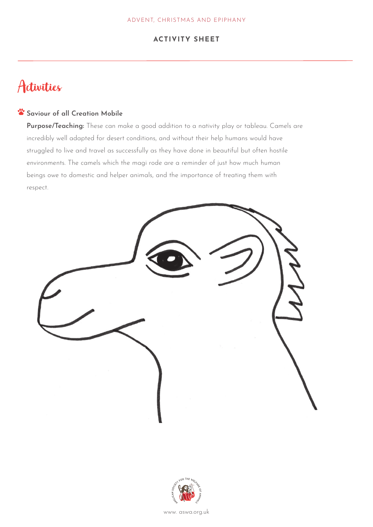# Activities

### **Saviour of all Creation Mobile**

**Purpose/Teaching:** These can make a good addition to a nativity play or tableau. Camels are incredibly well adapted for desert conditions, and without their help humans would have struggled to live and travel as successfully as they have done in beautiful but often hostile environments. The camels which the magi rode are a reminder of just how much human beings owe to domestic and helper animals, and the importance of treating them with<br> respect.



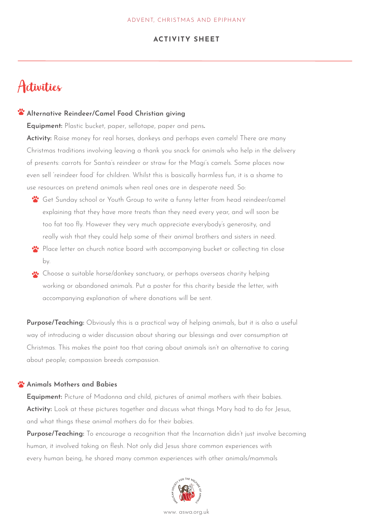## Activities

#### **Alternative Reindeer/Camel Food Christian giving**

**Equipment:** Plastic bucket, paper, sellotape, paper and pens**.**

**Activity:** Raise money for real horses, donkeys and perhaps even camels! There are many Christmas traditions involving leaving a thank you snack for animals who help in the delivery of presents: carrots for Santa's reindeer or straw for the Magi's camels. Some places now even sell 'reindeer food' for children. Whilst this is basically harmless fun, it is a shame to use resources on pretend animals when real ones are in desperate need. So:

- Get Sunday school or Youth Group to write a funny letter from head reindeer/camel explaining that they have more treats than they need every year, and will soon be too fat too fly. However they very much appreciate everybody's generosity, and really wish that they could help some of their animal brothers and sisters in need.
- Place letter on church notice board with accompanying bucket or collecting tin close by.
- Choose a suitable horse/donkey sanctuary, or perhaps overseas charity helping working or abandoned animals. Put a poster for this charity beside the letter, with accompanying explanation of where donations will be sent.

**Purpose/Teaching:** Obviously this is a practical way of helping animals, but it is also a useful way of introducing a wider discussion about sharing our blessings and over consumption at Christmas. This makes the point too that caring about animals isn't an alternative to caring about people; compassion breeds compassion.

#### **<sup>2</sup>** Animals Mothers and Babies

**Equipment:** Picture of Madonna and child, pictures of animal mothers with their babies. **Activity:** Look at these pictures together and discuss what things Mary had to do for Jesus, and what things these animal mothers do for their babies.

**Purpose/Teaching:** To encourage a recognition that the Incarnation didn't just involve becoming human, it involved taking on flesh. Not only did Jesus share common experiences with every human being, he shared many common experiences with other animals/mammals

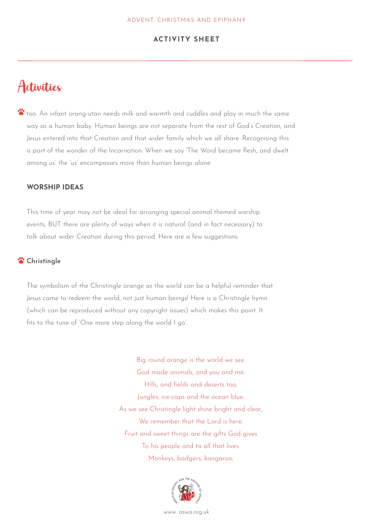## Activities

too. An infant orang-utan needs milk and warmth and cuddles and play in much the same way as a human baby. Human beings are not separate from the rest of God's Creation, and Jesus entered into that Creation and that wider family which we all share. Recognising this is part of the wonder of the Incarnation. When we say 'The Word became flesh, and dwelt among us' the 'us' encompasses more than human beings alone.

#### **WORSHIP IDEAS**

This time of year may not be ideal for arranging special animal themed worship events, BUT there are plenty of ways when it is natural (and in fact necessary) to talk about wider Creation during this period. Here are a few suggestions:

#### **Christingle**

The symbolism of the Christingle orange as the world can be a helpful reminder that Jesus came to redeem the world, not just human beings! Here is a Christingle hymn (which can be reproduced without any copyright issues) which makes this point. It fits to the tune of 'One more step along the world I go'.

> Big round orange is the world we see. God made animals, and you and me. Hills, and fields and deserts too; Jungles, ice-caps and the ocean blue. As we see Christingle light shine bright and clear, We remember that the Lord is here. Fruit and sweet things are the gifts God gives To his people and to all that lives. Monkeys, badgers, kangaroo;

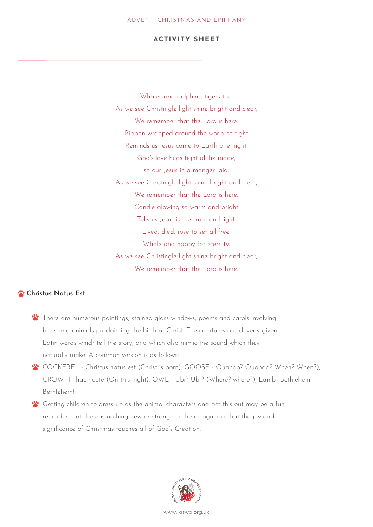Whales and dolphins, tigers too. As we see Christingle light shine bright and clear, We remember that the Lord is here. Ribbon wrapped around the world so tight Reminds us Jesus came to Earth one night. God's love hugs tight all he made; so our Jesus in a manger laid. As we see Christingle light shine bright and clear, We remember that the Lord is here. Candle glowing so warm and bright Tells us Jesus is the truth and light. Lived, died, rose to set all free; Whole and happy for eternity. As we see Christingle light shine bright and clear, We remember that the Lord is here.

## **W** Christus Natus Est

- \*\* There are numerous paintings, stained glass windows, poems and carols involving birds and animals proclaiming the birth of Christ. The creatures are cleverly given Latin words which tell the story, and which also mimic the sound which they naturally make. A common version is as follows:
- **\*** COCKEREL Christus natus est (Christ is born), GOOSE Quando? Quando? When? When?), CROW -In hac nocte (On this night), OWL - Ubi? Ubi? (Where? where?), Lamb -Bethlehem! Bethlehem!
- Getting children to dress up as the animal characters and act this out may be a fun reminder that there is nothing new or strange in the recognition that the joy and significance of Christmas touches all of God's Creation.